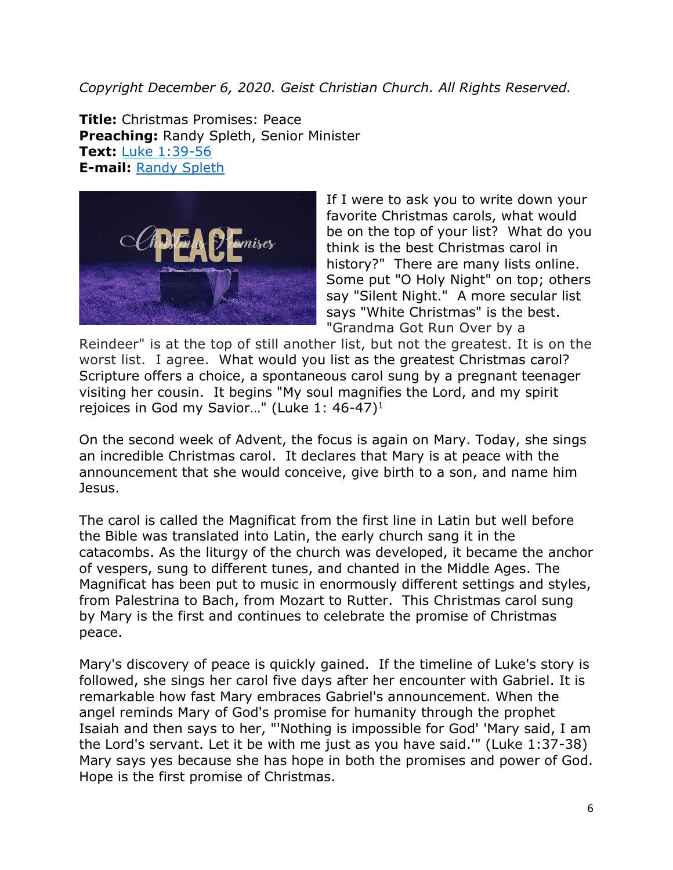*Copyright December 6, 2020. Geist Christian Church. All Rights Reserved.* 

**Title:** Christmas Promises: Peace **Preaching:** Randy Spleth, Senior Minister **Text:** [Luke 1:39-56](https://www.biblegateway.com/passage/?search=Luke+1%3A39-56&version=NRSV) **E-mail:** [Randy Spleth](mailto:randy.spleth@geistchristian.org)



If I were to ask you to write down your favorite Christmas carols, what would be on the top of your list? What do you think is the best Christmas carol in history?" There are many lists online. Some put "O Holy Night" on top; others say "Silent Night." A more secular list says "White Christmas" is the best. "Grandma Got Run Over by a

Reindeer" is at the top of still another list, but not the greatest. It is on the worst list. I agree.What would you list as the greatest Christmas carol? Scripture offers a choice, a spontaneous carol sung by a pregnant teenager visiting her cousin. It begins "My soul magnifies the Lord, and my spirit rejoices in God my Savior…" (Luke 1: 46-47)<sup>1</sup>

On the second week of Advent, the focus is again on Mary. Today, she sings an incredible Christmas carol. It declares that Mary is at peace with the announcement that she would conceive, give birth to a son, and name him Jesus.

The carol is called the Magnificat from the first line in Latin but well before the Bible was translated into Latin, the early church sang it in the catacombs. As the liturgy of the church was developed, it became the anchor of vespers, sung to different tunes, and chanted in the Middle Ages. The Magnificat has been put to music in enormously different settings and styles, from Palestrina to Bach, from Mozart to Rutter. This Christmas carol sung by Mary is the first and continues to celebrate the promise of Christmas peace.

Mary's discovery of peace is quickly gained. If the timeline of Luke's story is followed, she sings her carol five days after her encounter with Gabriel. It is remarkable how fast Mary embraces Gabriel's announcement. When the angel reminds Mary of God's promise for humanity through the prophet Isaiah and then says to her, "'Nothing is impossible for God' 'Mary said, I am the Lord's servant. Let it be with me just as you have said.'" (Luke 1:37-38) Mary says yes because she has hope in both the promises and power of God. Hope is the first promise of Christmas.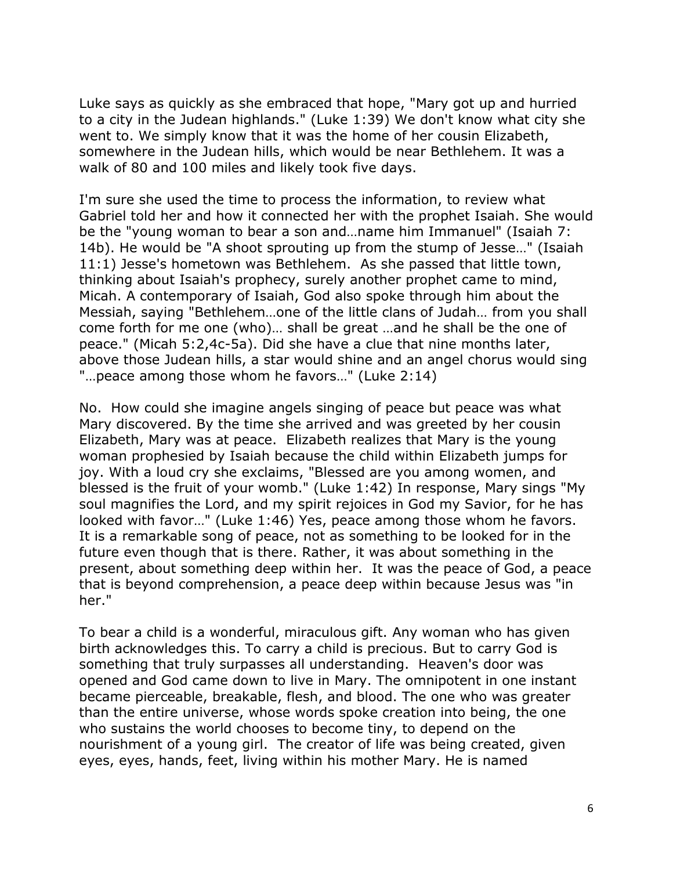Luke says as quickly as she embraced that hope, "Mary got up and hurried to a city in the Judean highlands." (Luke 1:39) We don't know what city she went to. We simply know that it was the home of her cousin Elizabeth, somewhere in the Judean hills, which would be near Bethlehem. It was a walk of 80 and 100 miles and likely took five days.

I'm sure she used the time to process the information, to review what Gabriel told her and how it connected her with the prophet Isaiah. She would be the "young woman to bear a son and…name him Immanuel" (Isaiah 7: 14b). He would be "A shoot sprouting up from the stump of Jesse…" (Isaiah 11:1) Jesse's hometown was Bethlehem. As she passed that little town, thinking about Isaiah's prophecy, surely another prophet came to mind, Micah. A contemporary of Isaiah, God also spoke through him about the Messiah, saying "Bethlehem…one of the little clans of Judah… from you shall come forth for me one (who)… shall be great …and he shall be the one of peace." (Micah 5:2,4c-5a). Did she have a clue that nine months later, above those Judean hills, a star would shine and an angel chorus would sing "…peace among those whom he favors…" (Luke 2:14)

No. How could she imagine angels singing of peace but peace was what Mary discovered. By the time she arrived and was greeted by her cousin Elizabeth, Mary was at peace. Elizabeth realizes that Mary is the young woman prophesied by Isaiah because the child within Elizabeth jumps for joy. With a loud cry she exclaims, "Blessed are you among women, and blessed is the fruit of your womb." (Luke 1:42) In response, Mary sings "My soul magnifies the Lord, and my spirit rejoices in God my Savior, for he has looked with favor…" (Luke 1:46) Yes, peace among those whom he favors. It is a remarkable song of peace, not as something to be looked for in the future even though that is there. Rather, it was about something in the present, about something deep within her. It was the peace of God, a peace that is beyond comprehension, a peace deep within because Jesus was "in her."

To bear a child is a wonderful, miraculous gift. Any woman who has given birth acknowledges this. To carry a child is precious. But to carry God is something that truly surpasses all understanding. Heaven's door was opened and God came down to live in Mary. The omnipotent in one instant became pierceable, breakable, flesh, and blood. The one who was greater than the entire universe, whose words spoke creation into being, the one who sustains the world chooses to become tiny, to depend on the nourishment of a young girl. The creator of life was being created, given eyes, eyes, hands, feet, living within his mother Mary. He is named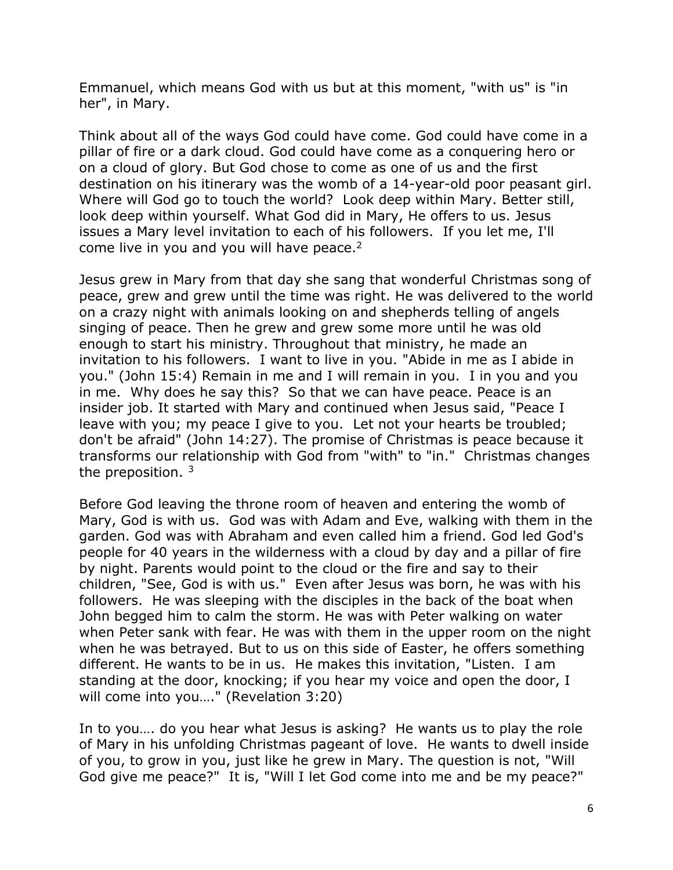Emmanuel, which means God with us but at this moment, "with us" is "in her", in Mary.

Think about all of the ways God could have come. God could have come in a pillar of fire or a dark cloud. God could have come as a conquering hero or on a cloud of glory. But God chose to come as one of us and the first destination on his itinerary was the womb of a 14-year-old poor peasant girl. Where will God go to touch the world? Look deep within Mary. Better still, look deep within yourself. What God did in Mary, He offers to us. Jesus issues a Mary level invitation to each of his followers. If you let me, I'll come live in you and you will have peace.<sup>2</sup>

Jesus grew in Mary from that day she sang that wonderful Christmas song of peace, grew and grew until the time was right. He was delivered to the world on a crazy night with animals looking on and shepherds telling of angels singing of peace. Then he grew and grew some more until he was old enough to start his ministry. Throughout that ministry, he made an invitation to his followers. I want to live in you. "Abide in me as I abide in you." (John 15:4) Remain in me and I will remain in you. I in you and you in me. Why does he say this? So that we can have peace. Peace is an insider job. It started with Mary and continued when Jesus said, "Peace I leave with you; my peace I give to you. Let not your hearts be troubled; don't be afraid" (John 14:27). The promise of Christmas is peace because it transforms our relationship with God from "with" to "in." Christmas changes the preposition.  $3\overline{ }$ 

Before God leaving the throne room of heaven and entering the womb of Mary, God is with us. God was with Adam and Eve, walking with them in the garden. God was with Abraham and even called him a friend. God led God's people for 40 years in the wilderness with a cloud by day and a pillar of fire by night. Parents would point to the cloud or the fire and say to their children, "See, God is with us." Even after Jesus was born, he was with his followers. He was sleeping with the disciples in the back of the boat when John begged him to calm the storm. He was with Peter walking on water when Peter sank with fear. He was with them in the upper room on the night when he was betrayed. But to us on this side of Easter, he offers something different. He wants to be in us. He makes this invitation, "Listen. I am standing at the door, knocking; if you hear my voice and open the door, I will come into you…." (Revelation 3:20)

In to you…. do you hear what Jesus is asking? He wants us to play the role of Mary in his unfolding Christmas pageant of love. He wants to dwell inside of you, to grow in you, just like he grew in Mary. The question is not, "Will God give me peace?" It is, "Will I let God come into me and be my peace?"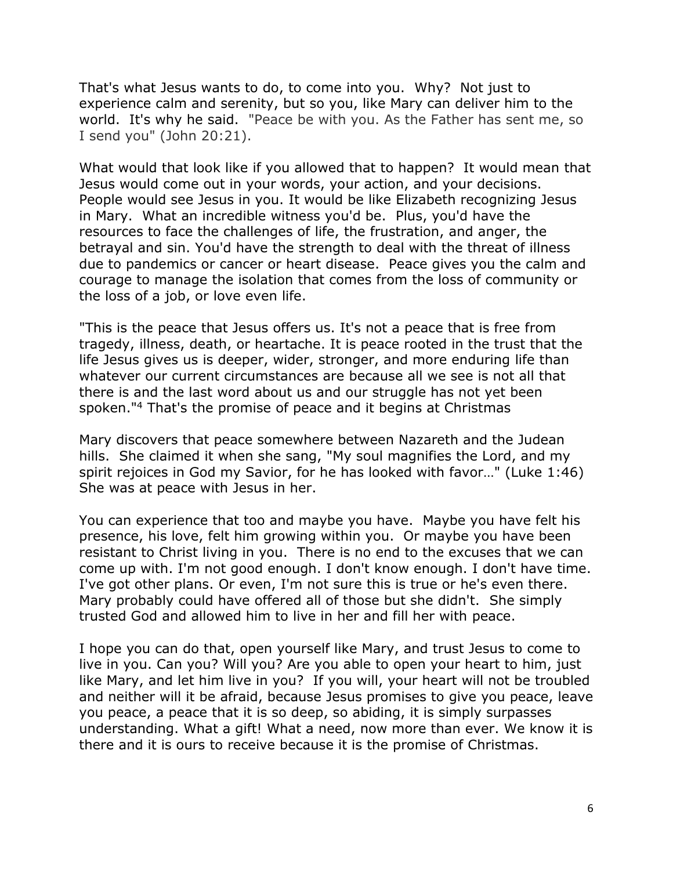That's what Jesus wants to do, to come into you. Why? Not just to experience calm and serenity, but so you, like Mary can deliver him to the world. It's why he said. "Peace be with you. As the Father has sent me, so I send you" (John 20:21).

What would that look like if you allowed that to happen? It would mean that Jesus would come out in your words, your action, and your decisions. People would see Jesus in you. It would be like Elizabeth recognizing Jesus in Mary. What an incredible witness you'd be. Plus, you'd have the resources to face the challenges of life, the frustration, and anger, the betrayal and sin. You'd have the strength to deal with the threat of illness due to pandemics or cancer or heart disease. Peace gives you the calm and courage to manage the isolation that comes from the loss of community or the loss of a job, or love even life.

"This is the peace that Jesus offers us. It's not a peace that is free from tragedy, illness, death, or heartache. It is peace rooted in the trust that the life Jesus gives us is deeper, wider, stronger, and more enduring life than whatever our current circumstances are because all we see is not all that there is and the last word about us and our struggle has not yet been spoken."<sup>4</sup> That's the promise of peace and it begins at Christmas

Mary discovers that peace somewhere between Nazareth and the Judean hills. She claimed it when she sang, "My soul magnifies the Lord, and my spirit rejoices in God my Savior, for he has looked with favor…" (Luke 1:46) She was at peace with Jesus in her.

You can experience that too and maybe you have. Maybe you have felt his presence, his love, felt him growing within you. Or maybe you have been resistant to Christ living in you. There is no end to the excuses that we can come up with. I'm not good enough. I don't know enough. I don't have time. I've got other plans. Or even, I'm not sure this is true or he's even there. Mary probably could have offered all of those but she didn't. She simply trusted God and allowed him to live in her and fill her with peace.

I hope you can do that, open yourself like Mary, and trust Jesus to come to live in you. Can you? Will you? Are you able to open your heart to him, just like Mary, and let him live in you? If you will, your heart will not be troubled and neither will it be afraid, because Jesus promises to give you peace, leave you peace, a peace that it is so deep, so abiding, it is simply surpasses understanding. What a gift! What a need, now more than ever. We know it is there and it is ours to receive because it is the promise of Christmas.